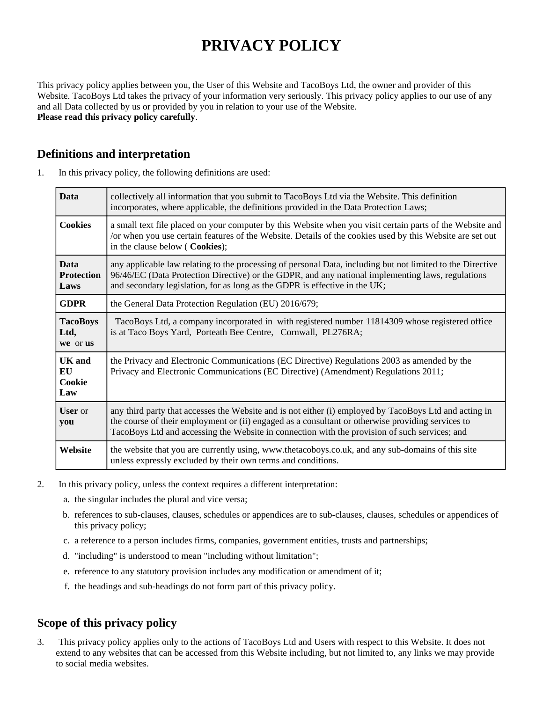# **PRIVACY POLICY**

This privacy policy applies between you, the User of this Website and TacoBoys Ltd, the owner and provider of this Website. TacoBoys Ltd takes the privacy of your information very seriously. This privacy policy applies to our use of any and all Data collected by us or provided by you in relation to your use of the Website. **Please read this privacy policy carefully**.

## **Definitions and interpretation**

|  | In this privacy policy, the following definitions are used: |  |  |  |  |
|--|-------------------------------------------------------------|--|--|--|--|
|--|-------------------------------------------------------------|--|--|--|--|

| <b>Data</b>                              | collectively all information that you submit to TacoBoys Ltd via the Website. This definition<br>incorporates, where applicable, the definitions provided in the Data Protection Laws;                                                                                                                       |  |
|------------------------------------------|--------------------------------------------------------------------------------------------------------------------------------------------------------------------------------------------------------------------------------------------------------------------------------------------------------------|--|
| <b>Cookies</b>                           | a small text file placed on your computer by this Website when you visit certain parts of the Website and<br>/or when you use certain features of the Website. Details of the cookies used by this Website are set out<br>in the clause below (Cookies);                                                     |  |
| <b>Data</b><br><b>Protection</b><br>Laws | any applicable law relating to the processing of personal Data, including but not limited to the Directive<br>96/46/EC (Data Protection Directive) or the GDPR, and any national implementing laws, regulations<br>and secondary legislation, for as long as the GDPR is effective in the UK;                |  |
| <b>GDPR</b>                              | the General Data Protection Regulation (EU) 2016/679;                                                                                                                                                                                                                                                        |  |
| <b>TacoBoys</b><br>Ltd,<br>we or us      | TacoBoys Ltd, a company incorporated in with registered number 11814309 whose registered office<br>is at Taco Boys Yard, Porteath Bee Centre, Cornwall, PL276RA;                                                                                                                                             |  |
| UK and<br>EU<br>Cookie<br>Law            | the Privacy and Electronic Communications (EC Directive) Regulations 2003 as amended by the<br>Privacy and Electronic Communications (EC Directive) (Amendment) Regulations 2011;                                                                                                                            |  |
| <b>User</b> or<br>you                    | any third party that accesses the Website and is not either (i) employed by TacoBoys Ltd and acting in<br>the course of their employment or (ii) engaged as a consultant or otherwise providing services to<br>TacoBoys Ltd and accessing the Website in connection with the provision of such services; and |  |
| Website                                  | the website that you are currently using, www.thetacoboys.co.uk, and any sub-domains of this site<br>unless expressly excluded by their own terms and conditions.                                                                                                                                            |  |

- 2. In this privacy policy, unless the context requires a different interpretation:
	- a. the singular includes the plural and vice versa;
	- b. references to sub-clauses, clauses, schedules or appendices are to sub-clauses, clauses, schedules or appendices of this privacy policy;
	- c. a reference to a person includes firms, companies, government entities, trusts and partnerships;
	- d. "including" is understood to mean "including without limitation";
	- e. reference to any statutory provision includes any modification or amendment of it;
	- f. the headings and sub-headings do not form part of this privacy policy.

## **Scope of this privacy policy**

3. This privacy policy applies only to the actions of TacoBoys Ltd and Users with respect to this Website. It does not extend to any websites that can be accessed from this Website including, but not limited to, any links we may provide to social media websites.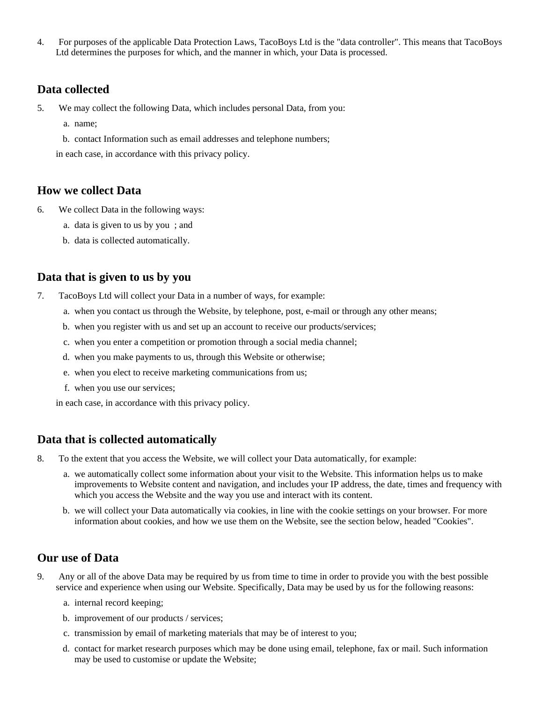4. For purposes of the applicable Data Protection Laws, TacoBoys Ltd is the "data controller". This means that TacoBoys Ltd determines the purposes for which, and the manner in which, your Data is processed.

#### **Data collected**

- 5. We may collect the following Data, which includes personal Data, from you:
	- a. name;
	- b. contact Information such as email addresses and telephone numbers;

in each case, in accordance with this privacy policy.

#### **How we collect Data**

- 6. We collect Data in the following ways:
	- a. data is given to us by you ; and
	- b. data is collected automatically.

## **Data that is given to us by you**

- 7. TacoBoys Ltd will collect your Data in a number of ways, for example:
	- a. when you contact us through the Website, by telephone, post, e-mail or through any other means;
	- b. when you register with us and set up an account to receive our products/services;
	- c. when you enter a competition or promotion through a social media channel;
	- d. when you make payments to us, through this Website or otherwise;
	- e. when you elect to receive marketing communications from us;
	- f. when you use our services;

in each case, in accordance with this privacy policy.

## **Data that is collected automatically**

8. To the extent that you access the Website, we will collect your Data automatically, for example:

- a. we automatically collect some information about your visit to the Website. This information helps us to make improvements to Website content and navigation, and includes your IP address, the date, times and frequency with which you access the Website and the way you use and interact with its content.
- b. we will collect your Data automatically via cookies, in line with the cookie settings on your browser. For more information about cookies, and how we use them on the Website, see the section below, headed "Cookies".

## **Our use of Data**

- 9. Any or all of the above Data may be required by us from time to time in order to provide you with the best possible service and experience when using our Website. Specifically, Data may be used by us for the following reasons:
	- a. internal record keeping;
	- b. improvement of our products / services;
	- c. transmission by email of marketing materials that may be of interest to you;
	- d. contact for market research purposes which may be done using email, telephone, fax or mail. Such information may be used to customise or update the Website;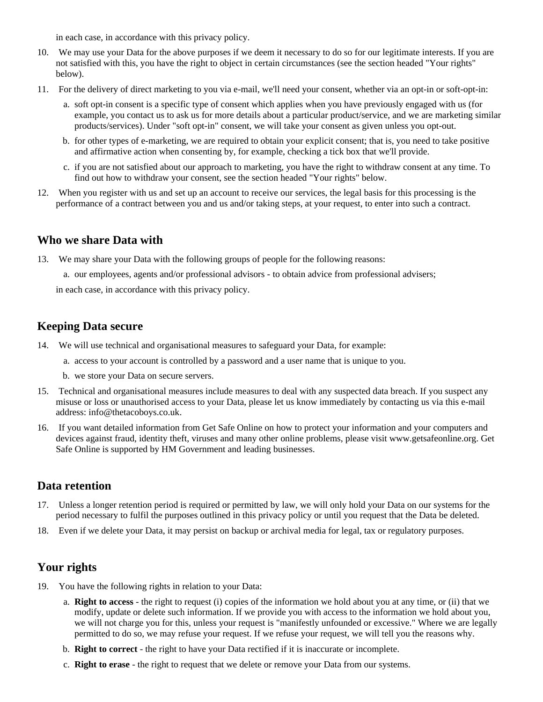in each case, in accordance with this privacy policy.

- 10. We may use your Data for the above purposes if we deem it necessary to do so for our legitimate interests. If you are not satisfied with this, you have the right to object in certain circumstances (see the section headed "Your rights" below).
- 11. For the delivery of direct marketing to you via e-mail, we'll need your consent, whether via an opt-in or soft-opt-in:
	- a. soft opt-in consent is a specific type of consent which applies when you have previously engaged with us (for example, you contact us to ask us for more details about a particular product/service, and we are marketing similar products/services). Under "soft opt-in" consent, we will take your consent as given unless you opt-out.
	- b. for other types of e-marketing, we are required to obtain your explicit consent; that is, you need to take positive and affirmative action when consenting by, for example, checking a tick box that we'll provide.
	- c. if you are not satisfied about our approach to marketing, you have the right to withdraw consent at any time. To find out how to withdraw your consent, see the section headed "Your rights" below.
- 12. When you register with us and set up an account to receive our services, the legal basis for this processing is the performance of a contract between you and us and/or taking steps, at your request, to enter into such a contract.

#### **Who we share Data with**

- 13. We may share your Data with the following groups of people for the following reasons:
	- a. our employees, agents and/or professional advisors to obtain advice from professional advisers;

in each case, in accordance with this privacy policy.

#### **Keeping Data secure**

- 14. We will use technical and organisational measures to safeguard your Data, for example:
	- a. access to your account is controlled by a password and a user name that is unique to you.
	- b. we store your Data on secure servers.
- 15. Technical and organisational measures include measures to deal with any suspected data breach. If you suspect any misuse or loss or unauthorised access to your Data, please let us know immediately by contacting us via this e-mail address: info@thetacoboys.co.uk.
- 16. If you want detailed information from Get Safe Online on how to protect your information and your computers and devices against fraud, identity theft, viruses and many other online problems, please visit www.getsafeonline.org. Get Safe Online is supported by HM Government and leading businesses.

#### **Data retention**

- 17. Unless a longer retention period is required or permitted by law, we will only hold your Data on our systems for the period necessary to fulfil the purposes outlined in this privacy policy or until you request that the Data be deleted.
- 18. Even if we delete your Data, it may persist on backup or archival media for legal, tax or regulatory purposes.

#### **Your rights**

- 19. You have the following rights in relation to your Data:
	- a. **Right to access** the right to request (i) copies of the information we hold about you at any time, or (ii) that we modify, update or delete such information. If we provide you with access to the information we hold about you, we will not charge you for this, unless your request is "manifestly unfounded or excessive." Where we are legally permitted to do so, we may refuse your request. If we refuse your request, we will tell you the reasons why.
	- b. **Right to correct** the right to have your Data rectified if it is inaccurate or incomplete.
	- c. **Right to erase** the right to request that we delete or remove your Data from our systems.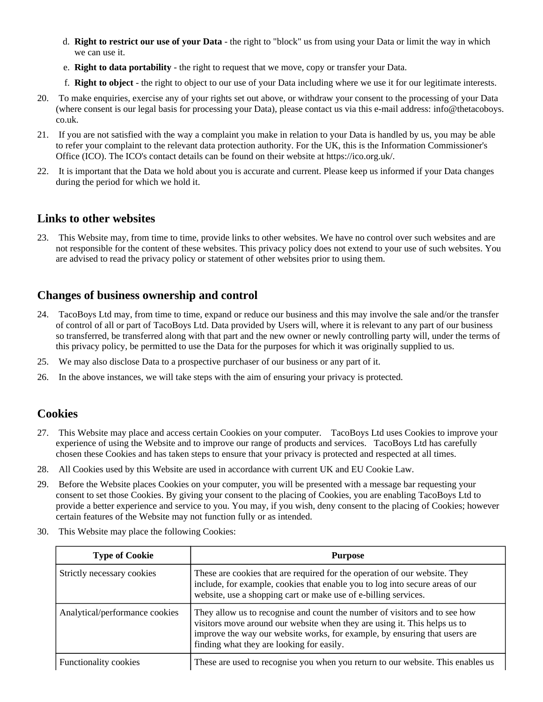- d. **Right to restrict our use of your Data** the right to "block" us from using your Data or limit the way in which we can use it.
- e. **Right to data portability** the right to request that we move, copy or transfer your Data.
- f. **Right to object** the right to object to our use of your Data including where we use it for our legitimate interests.
- 20. To make enquiries, exercise any of your rights set out above, or withdraw your consent to the processing of your Data (where consent is our legal basis for processing your Data), please contact us via this e-mail address: info@thetacoboys. co.uk.
- 21. If you are not satisfied with the way a complaint you make in relation to your Data is handled by us, you may be able to refer your complaint to the relevant data protection authority. For the UK, this is the Information Commissioner's Office (ICO). The ICO's contact details can be found on their website at https://ico.org.uk/.
- 22. It is important that the Data we hold about you is accurate and current. Please keep us informed if your Data changes during the period for which we hold it.

#### **Links to other websites**

23. This Website may, from time to time, provide links to other websites. We have no control over such websites and are not responsible for the content of these websites. This privacy policy does not extend to your use of such websites. You are advised to read the privacy policy or statement of other websites prior to using them.

## **Changes of business ownership and control**

- 24. TacoBoys Ltd may, from time to time, expand or reduce our business and this may involve the sale and/or the transfer of control of all or part of TacoBoys Ltd. Data provided by Users will, where it is relevant to any part of our business so transferred, be transferred along with that part and the new owner or newly controlling party will, under the terms of this privacy policy, be permitted to use the Data for the purposes for which it was originally supplied to us.
- 25. We may also disclose Data to a prospective purchaser of our business or any part of it.
- 26. In the above instances, we will take steps with the aim of ensuring your privacy is protected.

#### **Cookies**

- 27. This Website may place and access certain Cookies on your computer. TacoBoys Ltd uses Cookies to improve your experience of using the Website and to improve our range of products and services. TacoBoys Ltd has carefully chosen these Cookies and has taken steps to ensure that your privacy is protected and respected at all times.
- 28. All Cookies used by this Website are used in accordance with current UK and EU Cookie Law.
- 29. Before the Website places Cookies on your computer, you will be presented with a message bar requesting your consent to set those Cookies. By giving your consent to the placing of Cookies, you are enabling TacoBoys Ltd to provide a better experience and service to you. You may, if you wish, deny consent to the placing of Cookies; however certain features of the Website may not function fully or as intended.
- 30. This Website may place the following Cookies:

| <b>Type of Cookie</b>          | <b>Purpose</b>                                                                                                                                                                                                                                                                     |
|--------------------------------|------------------------------------------------------------------------------------------------------------------------------------------------------------------------------------------------------------------------------------------------------------------------------------|
| Strictly necessary cookies     | These are cookies that are required for the operation of our website. They<br>include, for example, cookies that enable you to log into secure areas of our<br>website, use a shopping cart or make use of e-billing services.                                                     |
| Analytical/performance cookies | They allow us to recognise and count the number of visitors and to see how<br>visitors move around our website when they are using it. This helps us to<br>improve the way our website works, for example, by ensuring that users are<br>finding what they are looking for easily. |
| <b>Functionality cookies</b>   | These are used to recognise you when you return to our website. This enables us                                                                                                                                                                                                    |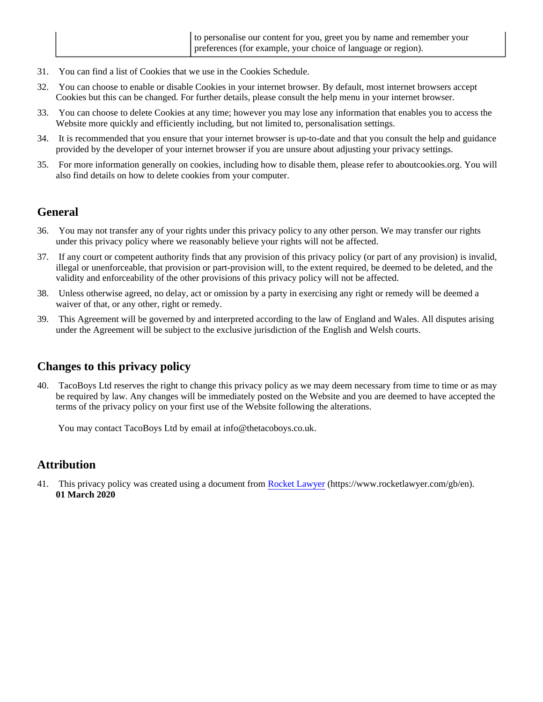- 31. You can find a list of Cookies that we use in the Cookies Schedule.
- 32. You can choose to enable or disable Cookies in your internet browser. By default, most internet browsers accept Cookies but this can be changed. For further details, please consult the help menu in your internet browser.
- 33. You can choose to delete Cookies at any time; however you may lose any information that enables you to access the Website more quickly and efficiently including, but not limited to, personalisation settings.
- 34. It is recommended that you ensure that your internet browser is up-to-date and that you consult the help and guidance provided by the developer of your internet browser if you are unsure about adjusting your privacy settings.
- 35. For more information generally on cookies, including how to disable them, please refer to aboutcookies.org. You will also find details on how to delete cookies from your computer.

#### **General**

- 36. You may not transfer any of your rights under this privacy policy to any other person. We may transfer our rights under this privacy policy where we reasonably believe your rights will not be affected.
- 37. If any court or competent authority finds that any provision of this privacy policy (or part of any provision) is invalid, illegal or unenforceable, that provision or part-provision will, to the extent required, be deemed to be deleted, and the validity and enforceability of the other provisions of this privacy policy will not be affected.
- 38. Unless otherwise agreed, no delay, act or omission by a party in exercising any right or remedy will be deemed a waiver of that, or any other, right or remedy.
- 39. This Agreement will be governed by and interpreted according to the law of England and Wales. All disputes arising under the Agreement will be subject to the exclusive jurisdiction of the English and Welsh courts.

#### **Changes to this privacy policy**

40. TacoBoys Ltd reserves the right to change this privacy policy as we may deem necessary from time to time or as may be required by law. Any changes will be immediately posted on the Website and you are deemed to have accepted the terms of the privacy policy on your first use of the Website following the alterations.

You may contact TacoBoys Ltd by email at info@thetacoboys.co.uk.

## **Attribution**

41. This privacy policy was created using a document from [Rocket Lawyer](https://www.rocketlawyer.com/gb/en/) (https://www.rocketlawyer.com/gb/en). **01 March 2020**